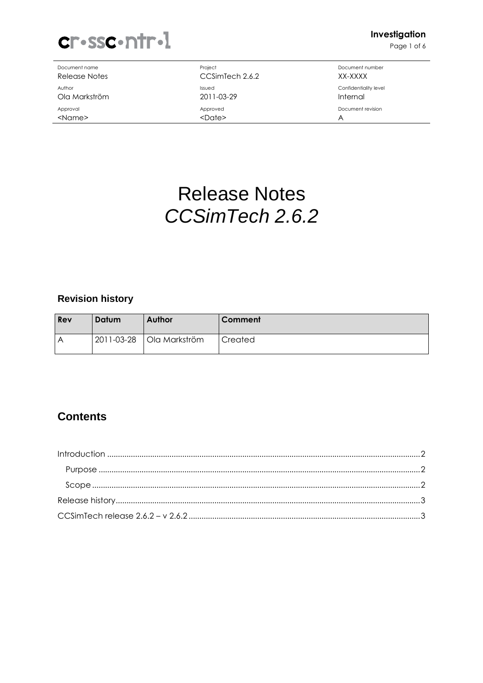

Document name **Document name** Project **Document number** Document number

Release Notes CCSimTech 2.6.2 XX-XXXX Author **Author** Confidentiality level and the state of the state of the state of the state of the state of the state of the state of the state of the state of the state of the state of the state of the state of the state o Ola Markström 2011-03-29 Internal Approval and Approved Approved and Approved and Approved Document revision <Name> A

Page 1 of 6

# Release Notes CCSimTech 2.6.2

## **Revision history**

| Rev | Datum | Author                   | Comment |
|-----|-------|--------------------------|---------|
| А   |       | 2011-03-28 Ola Markström | Created |

## **Contents**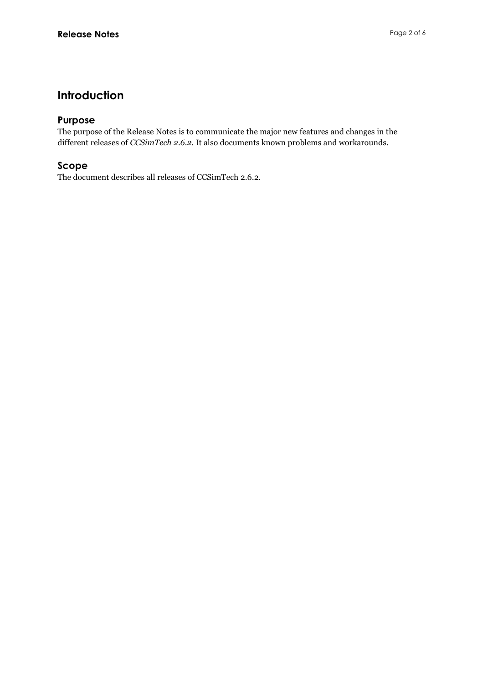## Introduction

## Purpose

The purpose of the Release Notes is to communicate the major new features and changes in the different releases of CCSimTech 2.6.2. It also documents known problems and workarounds.

## Scope

The document describes all releases of CCSimTech 2.6.2.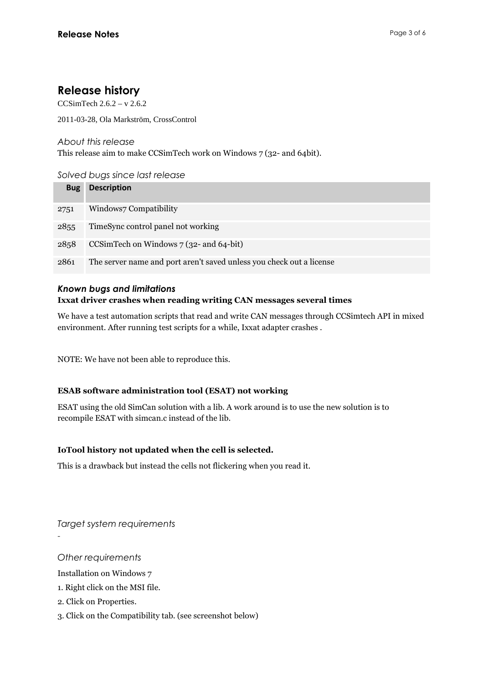## Release history

CCSimTech  $2.6.2 - y 2.6.2$ 

2011-03-28, Ola Markström, CrossControl

About this release

This release aim to make CCSimTech work on Windows 7 (32- and 64bit).

## Solved bugs since last release

| <b>Bug</b> | <b>Description</b>                                                   |
|------------|----------------------------------------------------------------------|
| 2751       | Windows7 Compatibility                                               |
| 2855       | TimeSync control panel not working                                   |
| 2858       | CCSimTech on Windows 7 (32- and 64-bit)                              |
| 2861       | The server name and port aren't saved unless you check out a license |

#### Known bugs and limitations

## Ixxat driver crashes when reading writing CAN messages several times

We have a test automation scripts that read and write CAN messages through CCSimtech API in mixed environment. After running test scripts for a while, Ixxat adapter crashes .

NOTE: We have not been able to reproduce this.

#### ESAB software administration tool (ESAT) not working

ESAT using the old SimCan solution with a lib. A work around is to use the new solution is to recompile ESAT with simcan.c instead of the lib.

## IoTool history not updated when the cell is selected.

This is a drawback but instead the cells not flickering when you read it.

Target system requirements

Other requirements

-

Installation on Windows 7

- 1. Right click on the MSI file.
- 2. Click on Properties.
- 3. Click on the Compatibility tab. (see screenshot below)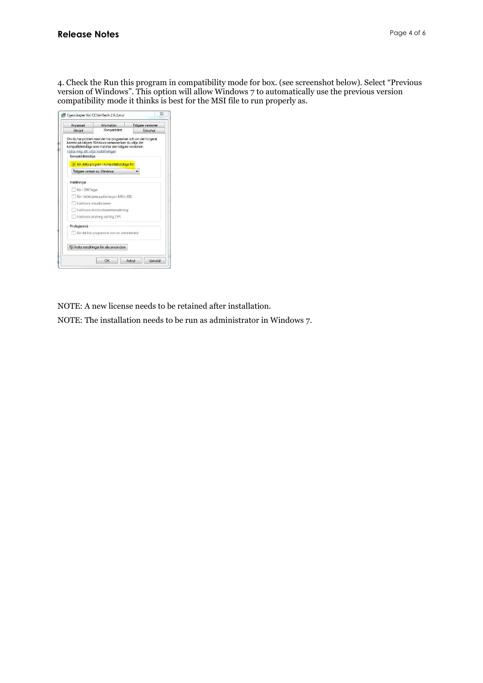4. Check the Run this program in compatibility mode for box. (see screenshot below). Select "Previous version of Windows". This option will allow Windows 7 to automatically use the previous version compatibility mode it thinks is best for the MSI file to run properly as.

| Allmänt                                                  | Kompatibilitet                                                                                                                                                                    |          |  |  |
|----------------------------------------------------------|-----------------------------------------------------------------------------------------------------------------------------------------------------------------------------------|----------|--|--|
|                                                          |                                                                                                                                                                                   | Säkerhet |  |  |
| Hjälp mig att välja inställningar<br>Kompatibilitetsläge | Om du har problem med det här programmet och om det fungerat<br>korrekt på tidigare Windows-versioner kan du välja det<br>kompatibilitetsläge som matchar den tidigare versionen. |          |  |  |
| Tidigare version av Windows                              | Kor detta program i kompatibilitetslage for:                                                                                                                                      |          |  |  |
|                                                          |                                                                                                                                                                                   |          |  |  |
| Inställningar                                            |                                                                                                                                                                                   |          |  |  |
| Kör i 256 färger                                         |                                                                                                                                                                                   |          |  |  |
|                                                          | Kör i bildskärmsupplösningen 640 x 480                                                                                                                                            |          |  |  |
| Inaktivera visuella teman                                |                                                                                                                                                                                   |          |  |  |
|                                                          | Inaktivera skrivbordssammansattning                                                                                                                                               |          |  |  |
|                                                          | Inaktivera skalning vid hög DPI                                                                                                                                                   |          |  |  |
| Privilegienivà                                           |                                                                                                                                                                                   |          |  |  |
|                                                          | Kör det här programmet som en administratör                                                                                                                                       |          |  |  |
|                                                          |                                                                                                                                                                                   |          |  |  |
|                                                          | <sup>(e</sup> Andra inställningar för alla användare                                                                                                                              |          |  |  |

NOTE: A new license needs to be retained after installation.

NOTE: The installation needs to be run as administrator in Windows 7.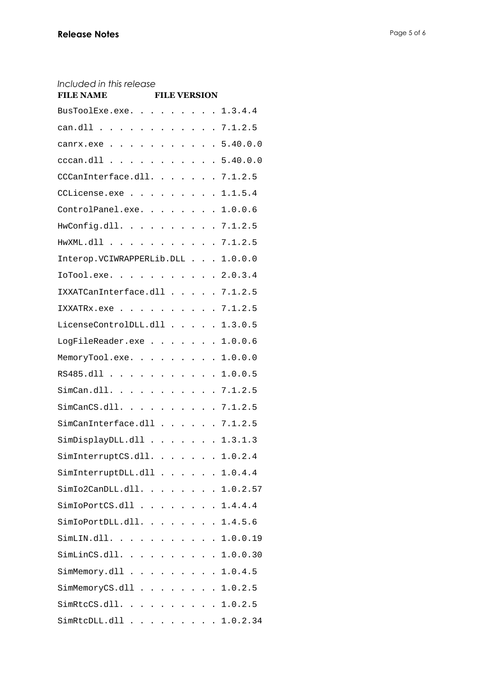## Included in this release

| <b>FILE NAME</b>                                                 |  |  | <b>FILE VERSION</b> |  |                    |
|------------------------------------------------------------------|--|--|---------------------|--|--------------------|
| BusToolExe.exe. 1.3.4.4                                          |  |  |                     |  |                    |
| can.dll 7.1.2.5                                                  |  |  |                     |  |                    |
| canrx.exe 5.40.0.0                                               |  |  |                     |  |                    |
| cccan.dll 5.40.0.0                                               |  |  |                     |  |                    |
| CCCanInterface.dll. 7.1.2.5                                      |  |  |                     |  |                    |
| CCLicense.exe 1.1.5.4                                            |  |  |                     |  |                    |
| ControlPanel.exe. 1.0.0.6                                        |  |  |                     |  |                    |
| HwConfig.dll. 7.1.2.5                                            |  |  |                     |  |                    |
| HwXML.dll 7.1.2.5                                                |  |  |                     |  |                    |
| Interop. VCIWRAPPERLib. DLL 1.0.0.0                              |  |  |                     |  |                    |
| IoTool.exe. 2.0.3.4                                              |  |  |                     |  |                    |
| IXXATCanInterface.dll 7.1.2.5                                    |  |  |                     |  |                    |
| IXXATRx.exe 7.1.2.5                                              |  |  |                     |  |                    |
| LicenseControlDLL.dll 1.3.0.5                                    |  |  |                     |  |                    |
| LogFileReader.exe 1.0.0.6                                        |  |  |                     |  |                    |
| MemoryTool.exe. 1.0.0.0                                          |  |  |                     |  |                    |
| RS485.dll 1.0.0.5                                                |  |  |                     |  |                    |
| SimCan.dll. 7.1.2.5                                              |  |  |                     |  |                    |
| SimCanCS.dll.    . 7.1.2.5                                       |  |  |                     |  |                    |
| SimCanInterface.dll 7.1.2.5                                      |  |  |                     |  |                    |
| SimDisplayDLL.dll 1.3.1.3                                        |  |  |                     |  |                    |
| $\verb SimInterruptCS.edu . \ldots \ldots \ldots \verb 1.0.2.4 $ |  |  |                     |  |                    |
| SimInterruptDLL.dll 1.0.4.4                                      |  |  |                     |  |                    |
| SimIo2CanDLL.dll.                                                |  |  |                     |  | $\ldots$ 1.0.2.57  |
| $SimIoPortCS.dll 1.4.4.4$                                        |  |  |                     |  |                    |
| SimIoPortDLL.dll.                                                |  |  |                     |  | $\ldots$ $1.4.5.6$ |
| SimLIN.dll.                                                      |  |  |                     |  | $\ldots$ 1.0.0.19  |
| SimLinCS.dll. 1.0.0.30                                           |  |  |                     |  |                    |
| $SimMemory$ .dll 1.0.4.5                                         |  |  |                     |  |                    |
| $SimMemoryCS.dll 1.0.2.5$                                        |  |  |                     |  |                    |
| $SimRtccS. dll.     1.0.2.5$                                     |  |  |                     |  |                    |
| SimRtcDLL.dll 1.0.2.34                                           |  |  |                     |  |                    |